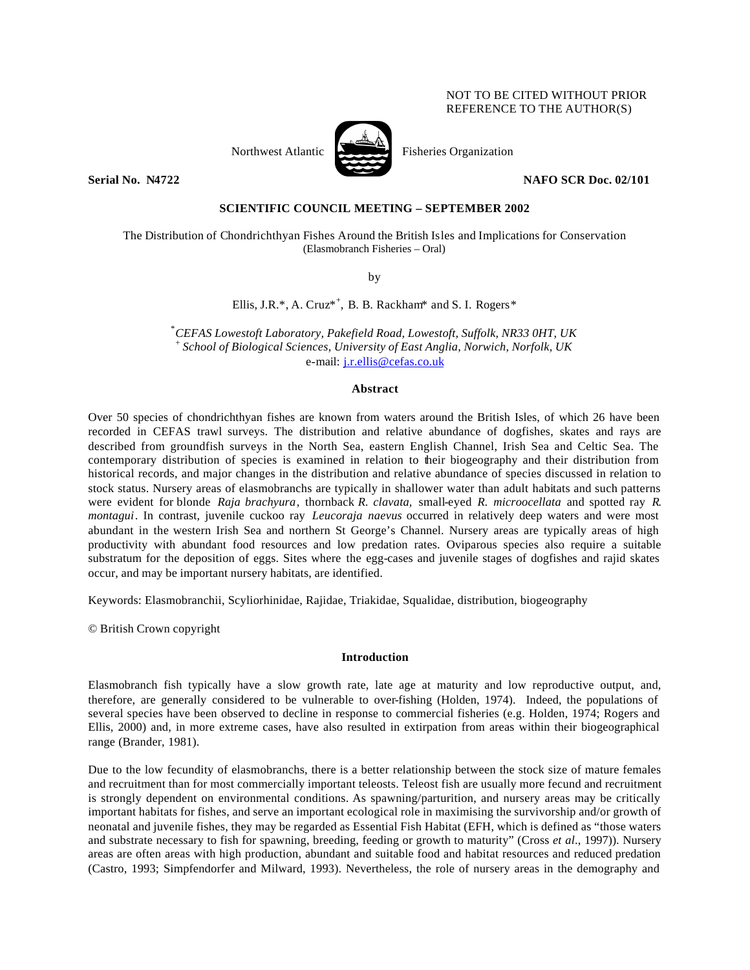# NOT TO BE CITED WITHOUT PRIOR REFERENCE TO THE AUTHOR(S)



Northwest Atlantic Fisheries Organization

**Serial No. 22/101** NAFO SCR Doc. 02/101

# **SCIENTIFIC COUNCIL MEETING – SEPTEMBER 2002**

The Distribution of Chondrichthyan Fishes Around the British Isles and Implications for Conservation (Elasmobranch Fisheries – Oral)

by

Ellis, J.R.\*, A. Cruz\*<sup>+</sup>, B. B. Rackham\* and S. I. Rogers\*

\**CEFAS Lowestoft Laboratory, Pakefield Road, Lowestoft, Suffolk, NR33 0HT, UK* + *School of Biological Sciences, University of East Anglia, Norwich, Norfolk, UK* e-mail: j.r.ellis@cefas.co.uk

#### **Abstract**

Over 50 species of chondrichthyan fishes are known from waters around the British Isles, of which 26 have been recorded in CEFAS trawl surveys. The distribution and relative abundance of dogfishes, skates and rays are described from groundfish surveys in the North Sea, eastern English Channel, Irish Sea and Celtic Sea. The contemporary distribution of species is examined in relation to their biogeography and their distribution from historical records, and major changes in the distribution and relative abundance of species discussed in relation to stock status. Nursery areas of elasmobranchs are typically in shallower water than adult habitats and such patterns were evident for blonde *Raja brachyura*, thornback *R. clavata,* small-eyed *R. microocellata* and spotted ray *R. montagui*. In contrast, juvenile cuckoo ray *Leucoraja naevus* occurred in relatively deep waters and were most abundant in the western Irish Sea and northern St George's Channel. Nursery areas are typically areas of high productivity with abundant food resources and low predation rates. Oviparous species also require a suitable substratum for the deposition of eggs. Sites where the egg-cases and juvenile stages of dogfishes and rajid skates occur, and may be important nursery habitats, are identified.

Keywords: Elasmobranchii, Scyliorhinidae, Rajidae, Triakidae, Squalidae, distribution, biogeography

© British Crown copyright

## **Introduction**

Elasmobranch fish typically have a slow growth rate, late age at maturity and low reproductive output, and, therefore, are generally considered to be vulnerable to over-fishing (Holden, 1974). Indeed, the populations of several species have been observed to decline in response to commercial fisheries (e.g. Holden, 1974; Rogers and Ellis, 2000) and, in more extreme cases, have also resulted in extirpation from areas within their biogeographical range (Brander, 1981).

Due to the low fecundity of elasmobranchs, there is a better relationship between the stock size of mature females and recruitment than for most commercially important teleosts. Teleost fish are usually more fecund and recruitment is strongly dependent on environmental conditions. As spawning/parturition, and nursery areas may be critically important habitats for fishes, and serve an important ecological role in maximising the survivorship and/or growth of neonatal and juvenile fishes, they may be regarded as Essential Fish Habitat (EFH, which is defined as "those waters and substrate necessary to fish for spawning, breeding, feeding or growth to maturity" (Cross *et al*., 1997)). Nursery areas are often areas with high production, abundant and suitable food and habitat resources and reduced predation (Castro, 1993; Simpfendorfer and Milward, 1993). Nevertheless, the role of nursery areas in the demography and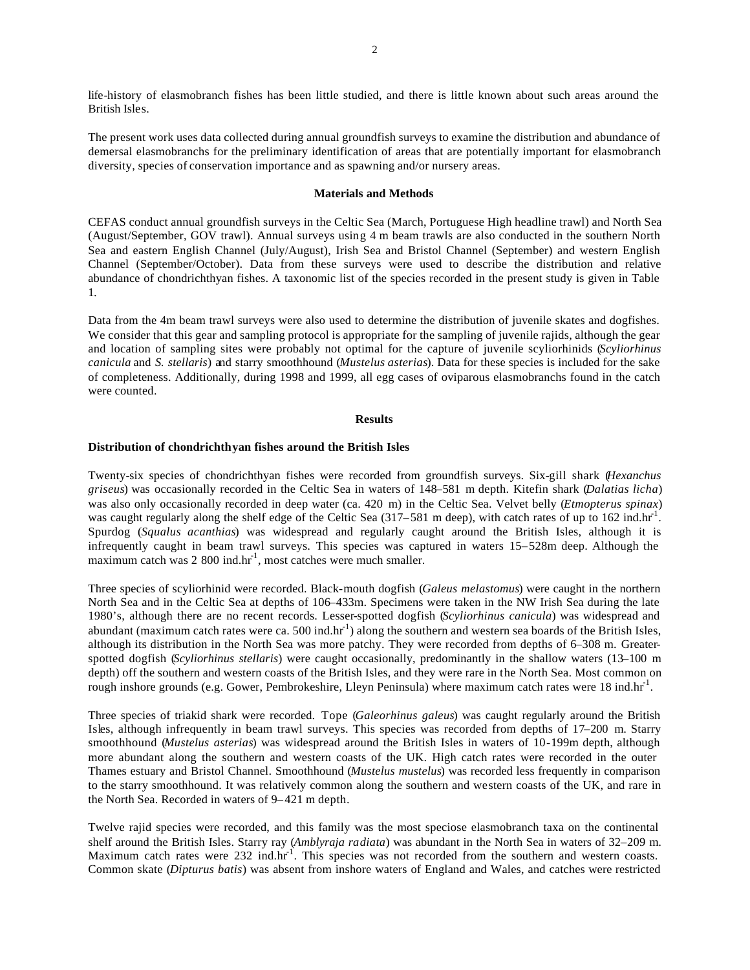life-history of elasmobranch fishes has been little studied, and there is little known about such areas around the British Isles.

The present work uses data collected during annual groundfish surveys to examine the distribution and abundance of demersal elasmobranchs for the preliminary identification of areas that are potentially important for elasmobranch diversity, species of conservation importance and as spawning and/or nursery areas.

## **Materials and Methods**

CEFAS conduct annual groundfish surveys in the Celtic Sea (March, Portuguese High headline trawl) and North Sea (August/September, GOV trawl). Annual surveys using 4 m beam trawls are also conducted in the southern North Sea and eastern English Channel (July/August), Irish Sea and Bristol Channel (September) and western English Channel (September/October). Data from these surveys were used to describe the distribution and relative abundance of chondrichthyan fishes. A taxonomic list of the species recorded in the present study is given in Table 1.

Data from the 4m beam trawl surveys were also used to determine the distribution of juvenile skates and dogfishes. We consider that this gear and sampling protocol is appropriate for the sampling of juvenile rajids, although the gear and location of sampling sites were probably not optimal for the capture of juvenile scyliorhinids (*Scyliorhinus canicula* and *S. stellaris*) and starry smoothhound (*Mustelus asterias*). Data for these species is included for the sake of completeness. Additionally, during 1998 and 1999, all egg cases of oviparous elasmobranchs found in the catch were counted.

#### **Results**

# **Distribution of chondrichthyan fishes around the British Isles**

Twenty-six species of chondrichthyan fishes were recorded from groundfish surveys. Six-gill shark (*Hexanchus griseus*) was occasionally recorded in the Celtic Sea in waters of 148–581 m depth. Kitefin shark (*Dalatias licha*) was also only occasionally recorded in deep water (ca. 420 m) in the Celtic Sea. Velvet belly (*Etmopterus spinax*) was caught regularly along the shelf edge of the Celtic Sea  $(317-581 \text{ m}$  deep), with catch rates of up to 162 ind.hr<sup>-1</sup>. Spurdog (*Squalus acanthias*) was widespread and regularly caught around the British Isles, although it is infrequently caught in beam trawl surveys. This species was captured in waters 15–528m deep. Although the maximum catch was 2 800 ind.hr<sup>1</sup>, most catches were much smaller.

Three species of scyliorhinid were recorded. Black-mouth dogfish (*Galeus melastomus*) were caught in the northern North Sea and in the Celtic Sea at depths of 106–433m. Specimens were taken in the NW Irish Sea during the late 1980's, although there are no recent records. Lesser-spotted dogfish (*Scyliorhinus canicula*) was widespread and abundant (maximum catch rates were ca. 500 ind.hr<sup>-1</sup>) along the southern and western sea boards of the British Isles, although its distribution in the North Sea was more patchy. They were recorded from depths of 6–308 m. Greaterspotted dogfish (*Scyliorhinus stellaris*) were caught occasionally, predominantly in the shallow waters (13–100 m depth) off the southern and western coasts of the British Isles, and they were rare in the North Sea. Most common on rough inshore grounds (e.g. Gower, Pembrokeshire, Lleyn Peninsula) where maximum catch rates were 18 ind.hr<sup>1</sup>.

Three species of triakid shark were recorded. Tope (*Galeorhinus galeus*) was caught regularly around the British Isles, although infrequently in beam trawl surveys. This species was recorded from depths of 17–200 m. Starry smoothhound (*Mustelus asterias*) was widespread around the British Isles in waters of 10-199m depth, although more abundant along the southern and western coasts of the UK. High catch rates were recorded in the outer Thames estuary and Bristol Channel. Smoothhound (*Mustelus mustelus*) was recorded less frequently in comparison to the starry smoothhound. It was relatively common along the southern and western coasts of the UK, and rare in the North Sea. Recorded in waters of 9–421 m depth.

Twelve rajid species were recorded, and this family was the most speciose elasmobranch taxa on the continental shelf around the British Isles. Starry ray (*Amblyraja radiata*) was abundant in the North Sea in waters of 32–209 m. Maximum catch rates were 232 ind.hr<sup>-1</sup>. This species was not recorded from the southern and western coasts. Common skate (*Dipturus batis*) was absent from inshore waters of England and Wales, and catches were restricted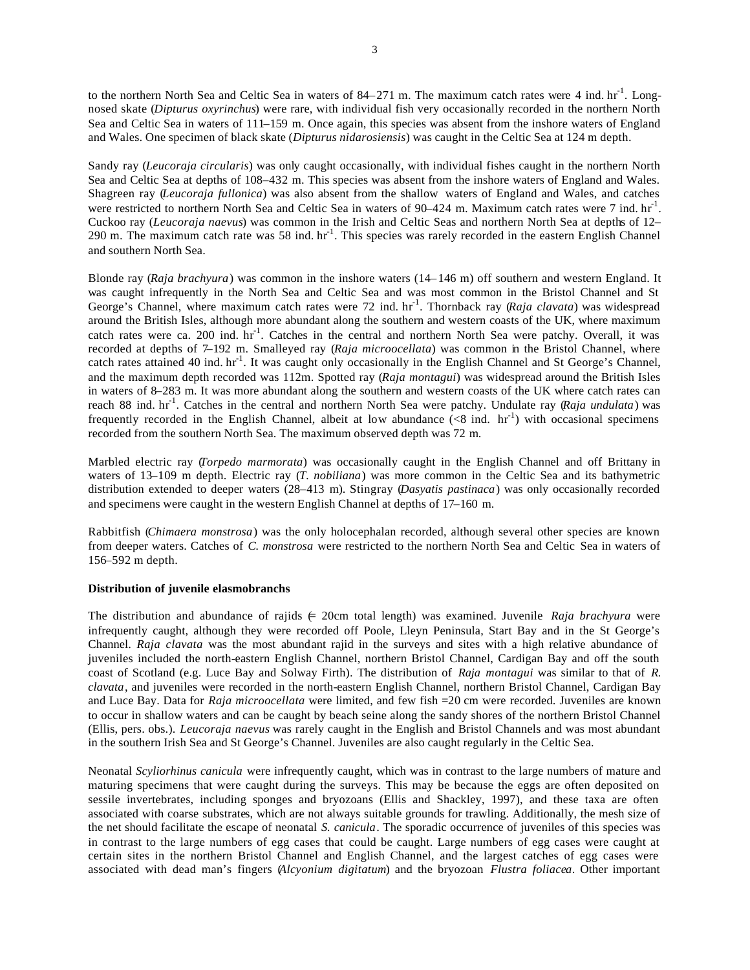to the northern North Sea and Celtic Sea in waters of 84–271 m. The maximum catch rates were 4 ind.  $hr<sup>-1</sup>$ . Longnosed skate (*Dipturus oxyrinchus*) were rare, with individual fish very occasionally recorded in the northern North Sea and Celtic Sea in waters of 111–159 m. Once again, this species was absent from the inshore waters of England and Wales. One specimen of black skate (*Dipturus nidarosiensis*) was caught in the Celtic Sea at 124 m depth.

Sandy ray (*Leucoraja circularis*) was only caught occasionally, with individual fishes caught in the northern North Sea and Celtic Sea at depths of 108–432 m. This species was absent from the inshore waters of England and Wales. Shagreen ray (*Leucoraja fullonica*) was also absent from the shallow waters of England and Wales, and catches were restricted to northern North Sea and Celtic Sea in waters of  $90-424$  m. Maximum catch rates were 7 ind. hr<sup>1</sup>. Cuckoo ray (*Leucoraja naevus*) was common in the Irish and Celtic Seas and northern North Sea at depths of 12– 290 m. The maximum catch rate was 58 ind.  $hr^{-1}$ . This species was rarely recorded in the eastern English Channel and southern North Sea.

Blonde ray (*Raja brachyura*) was common in the inshore waters (14–146 m) off southern and western England. It was caught infrequently in the North Sea and Celtic Sea and was most common in the Bristol Channel and St George's Channel, where maximum catch rates were 72 ind. hr<sup>-1</sup>. Thornback ray (Raja clavata) was widespread around the British Isles, although more abundant along the southern and western coasts of the UK, where maximum catch rates were ca. 200 ind. hr<sup>-1</sup>. Catches in the central and northern North Sea were patchy. Overall, it was recorded at depths of 7–192 m. Smalleyed ray (*Raja microocellata*) was common in the Bristol Channel, where catch rates attained 40 ind. hr<sup>-1</sup>. It was caught only occasionally in the English Channel and St George's Channel, and the maximum depth recorded was 112m. Spotted ray (*Raja montagui*) was widespread around the British Isles in waters of 8–283 m. It was more abundant along the southern and western coasts of the UK where catch rates can reach 88 ind. hr<sup>-1</sup>. Catches in the central and northern North Sea were patchy. Undulate ray (*Raja undulata*) was frequently recorded in the English Channel, albeit at low abundance  $(<8$  ind. hr<sup>-1</sup>) with occasional specimens recorded from the southern North Sea. The maximum observed depth was 72 m.

Marbled electric ray (*Torpedo marmorata*) was occasionally caught in the English Channel and off Brittany in waters of 13–109 m depth. Electric ray (*T. nobiliana*) was more common in the Celtic Sea and its bathymetric distribution extended to deeper waters (28–413 m). Stingray (*Dasyatis pastinaca*) was only occasionally recorded and specimens were caught in the western English Channel at depths of 17–160 m.

Rabbitfish (*Chimaera monstrosa*) was the only holocephalan recorded, although several other species are known from deeper waters. Catches of *C. monstrosa* were restricted to the northern North Sea and Celtic Sea in waters of 156–592 m depth.

## **Distribution of juvenile elasmobranchs**

The distribution and abundance of rajids  $\in$  20cm total length) was examined. Juvenile *Raja brachyura* were infrequently caught, although they were recorded off Poole, Lleyn Peninsula, Start Bay and in the St George's Channel. *Raja clavata* was the most abundant rajid in the surveys and sites with a high relative abundance of juveniles included the north-eastern English Channel, northern Bristol Channel, Cardigan Bay and off the south coast of Scotland (e.g. Luce Bay and Solway Firth). The distribution of *Raja montagui* was similar to that of *R. clavata*, and juveniles were recorded in the north-eastern English Channel, northern Bristol Channel, Cardigan Bay and Luce Bay. Data for *Raja microocellata* were limited, and few fish =20 cm were recorded. Juveniles are known to occur in shallow waters and can be caught by beach seine along the sandy shores of the northern Bristol Channel (Ellis, pers. obs.). *Leucoraja naevus* was rarely caught in the English and Bristol Channels and was most abundant in the southern Irish Sea and St George's Channel. Juveniles are also caught regularly in the Celtic Sea.

Neonatal *Scyliorhinus canicula* were infrequently caught, which was in contrast to the large numbers of mature and maturing specimens that were caught during the surveys. This may be because the eggs are often deposited on sessile invertebrates, including sponges and bryozoans (Ellis and Shackley, 1997), and these taxa are often associated with coarse substrates, which are not always suitable grounds for trawling. Additionally, the mesh size of the net should facilitate the escape of neonatal *S. canicula*. The sporadic occurrence of juveniles of this species was in contrast to the large numbers of egg cases that could be caught. Large numbers of egg cases were caught at certain sites in the northern Bristol Channel and English Channel, and the largest catches of egg cases were associated with dead man's fingers (*Alcyonium digitatum*) and the bryozoan *Flustra foliacea*. Other important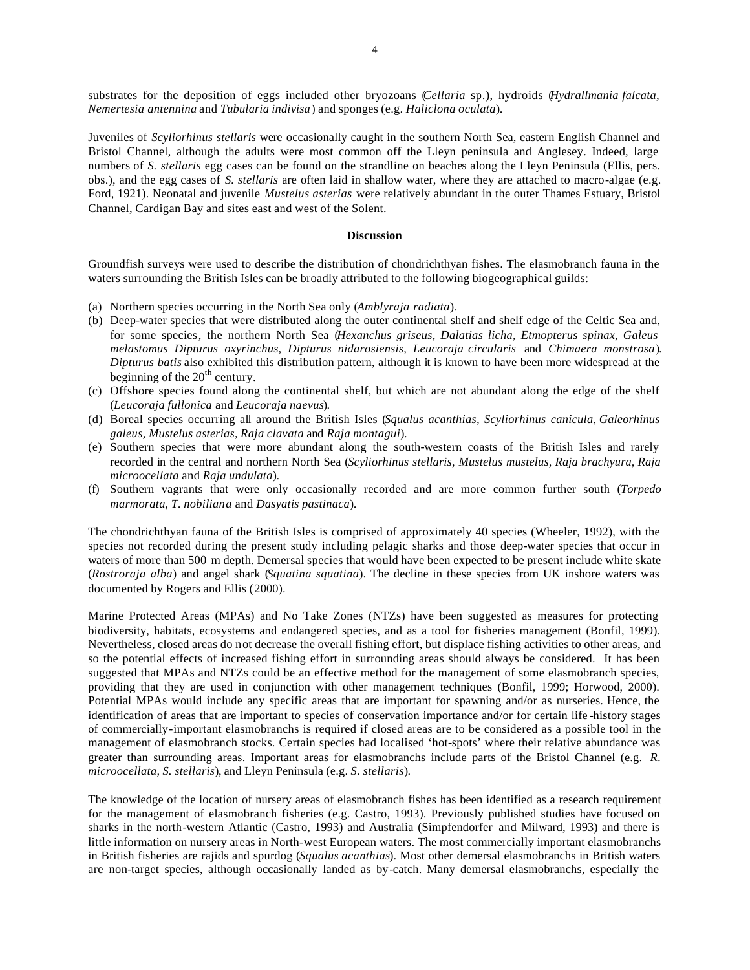substrates for the deposition of eggs included other bryozoans (*Cellaria* sp.), hydroids (*Hydrallmania falcata, Nemertesia antennina* and *Tubularia indivisa*) and sponges (e.g. *Haliclona oculata*).

Juveniles of *Scyliorhinus stellaris* were occasionally caught in the southern North Sea, eastern English Channel and Bristol Channel, although the adults were most common off the Lleyn peninsula and Anglesey. Indeed, large numbers of *S. stellaris* egg cases can be found on the strandline on beaches along the Lleyn Peninsula (Ellis, pers. obs.), and the egg cases of *S. stellaris* are often laid in shallow water, where they are attached to macro-algae (e.g. Ford, 1921). Neonatal and juvenile *Mustelus asterias* were relatively abundant in the outer Thames Estuary, Bristol Channel, Cardigan Bay and sites east and west of the Solent.

### **Discussion**

Groundfish surveys were used to describe the distribution of chondrichthyan fishes. The elasmobranch fauna in the waters surrounding the British Isles can be broadly attributed to the following biogeographical guilds:

- (a) Northern species occurring in the North Sea only (*Amblyraja radiata*).
- (b) Deep-water species that were distributed along the outer continental shelf and shelf edge of the Celtic Sea and, for some species, the northern North Sea (*Hexanchus griseus, Dalatias licha, Etmopterus spinax, Galeus melastomus Dipturus oxyrinchus, Dipturus nidarosiensis, Leucoraja circularis* and *Chimaera monstrosa*). *Dipturus batis* also exhibited this distribution pattern, although it is known to have been more widespread at the beginning of the  $20<sup>th</sup>$  century.
- (c) Offshore species found along the continental shelf, but which are not abundant along the edge of the shelf (*Leucoraja fullonica* and *Leucoraja naevus*).
- (d) Boreal species occurring all around the British Isles (*Squalus acanthias, Scyliorhinus canicula*, *Galeorhinus galeus, Mustelus asterias, Raja clavata* and *Raja montagui*).
- (e) Southern species that were more abundant along the south-western coasts of the British Isles and rarely recorded in the central and northern North Sea (*Scyliorhinus stellaris, Mustelus mustelus, Raja brachyura, Raja microocellata* and *Raja undulata*).
- (f) Southern vagrants that were only occasionally recorded and are more common further south (*Torpedo marmorata, T. nobiliana* and *Dasyatis pastinaca*).

The chondrichthyan fauna of the British Isles is comprised of approximately 40 species (Wheeler, 1992), with the species not recorded during the present study including pelagic sharks and those deep-water species that occur in waters of more than 500 m depth. Demersal species that would have been expected to be present include white skate (*Rostroraja alba*) and angel shark (*Squatina squatina*). The decline in these species from UK inshore waters was documented by Rogers and Ellis (2000).

Marine Protected Areas (MPAs) and No Take Zones (NTZs) have been suggested as measures for protecting biodiversity, habitats, ecosystems and endangered species, and as a tool for fisheries management (Bonfil, 1999). Nevertheless, closed areas do not decrease the overall fishing effort, but displace fishing activities to other areas, and so the potential effects of increased fishing effort in surrounding areas should always be considered. It has been suggested that MPAs and NTZs could be an effective method for the management of some elasmobranch species, providing that they are used in conjunction with other management techniques (Bonfil, 1999; Horwood, 2000). Potential MPAs would include any specific areas that are important for spawning and/or as nurseries. Hence, the identification of areas that are important to species of conservation importance and/or for certain life -history stages of commercially-important elasmobranchs is required if closed areas are to be considered as a possible tool in the management of elasmobranch stocks. Certain species had localised 'hot-spots' where their relative abundance was greater than surrounding areas. Important areas for elasmobranchs include parts of the Bristol Channel (e.g. *R. microocellata, S. stellaris*), and Lleyn Peninsula (e.g. *S. stellaris*).

The knowledge of the location of nursery areas of elasmobranch fishes has been identified as a research requirement for the management of elasmobranch fisheries (e.g. Castro, 1993). Previously published studies have focused on sharks in the north-western Atlantic (Castro, 1993) and Australia (Simpfendorfer and Milward, 1993) and there is little information on nursery areas in North-west European waters. The most commercially important elasmobranchs in British fisheries are rajids and spurdog (*Squalus acanthias*). Most other demersal elasmobranchs in British waters are non-target species, although occasionally landed as by-catch. Many demersal elasmobranchs, especially the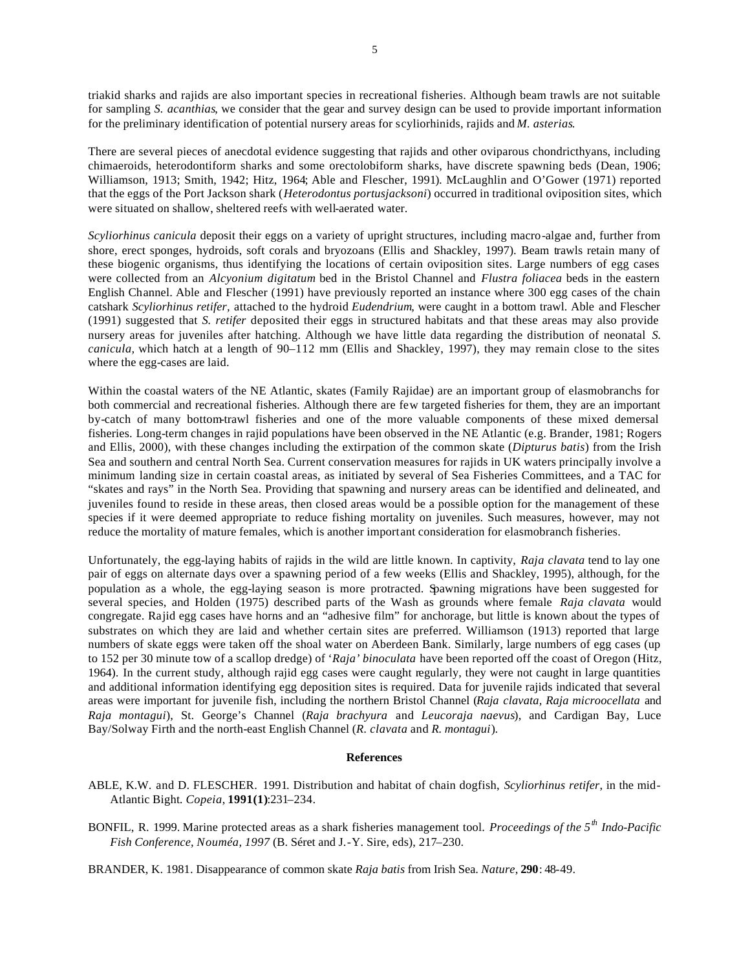triakid sharks and rajids are also important species in recreational fisheries. Although beam trawls are not suitable for sampling *S. acanthias*, we consider that the gear and survey design can be used to provide important information for the preliminary identification of potential nursery areas for scyliorhinids, rajids and *M. asterias*.

There are several pieces of anecdotal evidence suggesting that rajids and other oviparous chondricthyans, including chimaeroids, heterodontiform sharks and some orectolobiform sharks, have discrete spawning beds (Dean, 1906; Williamson, 1913; Smith, 1942; Hitz, 1964; Able and Flescher, 1991). McLaughlin and O'Gower (1971) reported that the eggs of the Port Jackson shark (*Heterodontus portusjacksoni*) occurred in traditional oviposition sites, which were situated on shallow, sheltered reefs with well-aerated water.

*Scyliorhinus canicula* deposit their eggs on a variety of upright structures, including macro-algae and, further from shore, erect sponges, hydroids, soft corals and bryozoans (Ellis and Shackley, 1997). Beam trawls retain many of these biogenic organisms, thus identifying the locations of certain oviposition sites. Large numbers of egg cases were collected from an *Alcyonium digitatum* bed in the Bristol Channel and *Flustra foliacea* beds in the eastern English Channel. Able and Flescher (1991) have previously reported an instance where 300 egg cases of the chain catshark *Scyliorhinus retifer,* attached to the hydroid *Eudendrium*, were caught in a bottom trawl. Able and Flescher (1991) suggested that *S. retifer* deposited their eggs in structured habitats and that these areas may also provide nursery areas for juveniles after hatching. Although we have little data regarding the distribution of neonatal *S. canicula,* which hatch at a length of 90–112 mm (Ellis and Shackley, 1997), they may remain close to the sites where the egg-cases are laid.

Within the coastal waters of the NE Atlantic, skates (Family Rajidae) are an important group of elasmobranchs for both commercial and recreational fisheries. Although there are few targeted fisheries for them, they are an important by-catch of many bottom-trawl fisheries and one of the more valuable components of these mixed demersal fisheries. Long-term changes in rajid populations have been observed in the NE Atlantic (e.g. Brander, 1981; Rogers and Ellis, 2000), with these changes including the extirpation of the common skate (*Dipturus batis*) from the Irish Sea and southern and central North Sea. Current conservation measures for rajids in UK waters principally involve a minimum landing size in certain coastal areas, as initiated by several of Sea Fisheries Committees, and a TAC for "skates and rays" in the North Sea. Providing that spawning and nursery areas can be identified and delineated, and juveniles found to reside in these areas, then closed areas would be a possible option for the management of these species if it were deemed appropriate to reduce fishing mortality on juveniles. Such measures, however, may not reduce the mortality of mature females, which is another important consideration for elasmobranch fisheries.

Unfortunately, the egg-laying habits of rajids in the wild are little known. In captivity, *Raja clavata* tend to lay one pair of eggs on alternate days over a spawning period of a few weeks (Ellis and Shackley, 1995), although, for the population as a whole, the egg-laying season is more protracted. Spawning migrations have been suggested for several species, and Holden (1975) described parts of the Wash as grounds where female *Raja clavata* would congregate. Rajid egg cases have horns and an "adhesive film" for anchorage, but little is known about the types of substrates on which they are laid and whether certain sites are preferred. Williamson (1913) reported that large numbers of skate eggs were taken off the shoal water on Aberdeen Bank. Similarly, large numbers of egg cases (up to 152 per 30 minute tow of a scallop dredge) of '*Raja' binoculata* have been reported off the coast of Oregon (Hitz, 1964). In the current study, although rajid egg cases were caught regularly, they were not caught in large quantities and additional information identifying egg deposition sites is required. Data for juvenile rajids indicated that several areas were important for juvenile fish, including the northern Bristol Channel (*Raja clavata, Raja microocellata* and *Raja montagui*), St. George's Channel (*Raja brachyura* and *Leucoraja naevus*), and Cardigan Bay, Luce Bay/Solway Firth and the north-east English Channel (*R. clavata* and *R. montagui*).

### **References**

ABLE, K.W. and D. FLESCHER. 1991. Distribution and habitat of chain dogfish, *Scyliorhinus retifer*, in the mid-Atlantic Bight*. Copeia*, **1991(1)**:231–234.

BONFIL, R. 1999. Marine protected areas as a shark fisheries management tool. *Proceedings of the 5th Indo-Pacific Fish Conference, Nouméa, 1997* (B. Séret and J.-Y. Sire, eds), 217–230.

BRANDER, K. 1981. Disappearance of common skate *Raja batis* from Irish Sea. *Nature*, **290**: 48-49.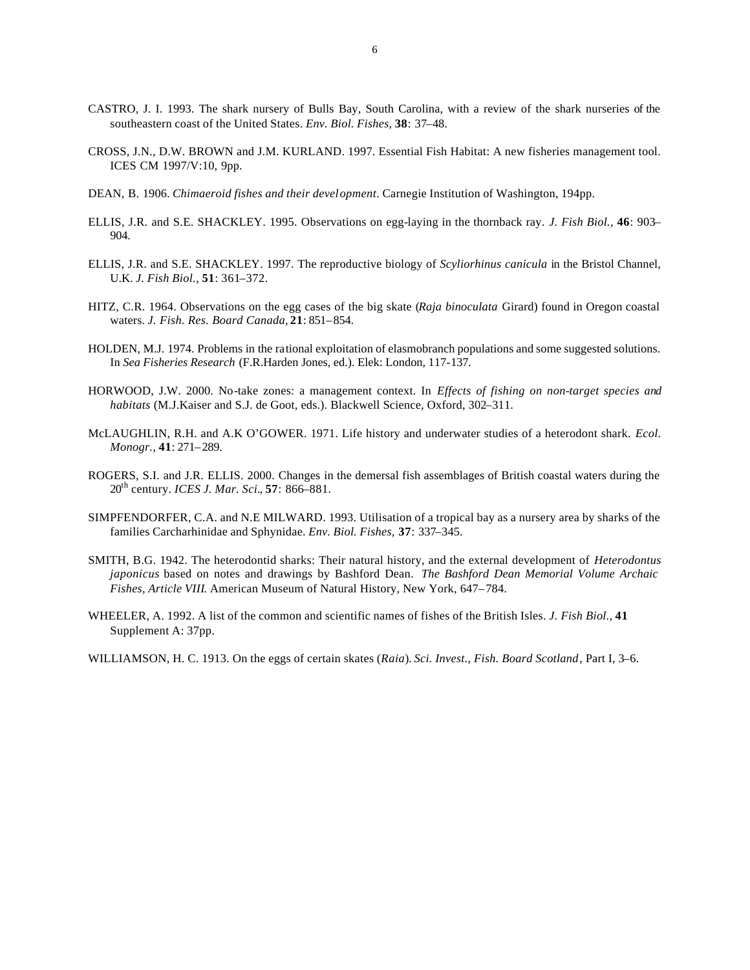- CASTRO, J. I. 1993. The shark nursery of Bulls Bay, South Carolina, with a review of the shark nurseries of the southeastern coast of the United States. *Env. Biol. Fishes,* **38**: 37–48.
- CROSS, J.N., D.W. BROWN and J.M. KURLAND. 1997. Essential Fish Habitat: A new fisheries management tool. ICES CM 1997/V:10, 9pp.
- DEAN, B. 1906. *Chimaeroid fishes and their development*. Carnegie Institution of Washington, 194pp.
- ELLIS, J.R. and S.E. SHACKLEY. 1995. Observations on egg-laying in the thornback ray. *J. Fish Biol.,* **46**: 903– 904.
- ELLIS, J.R. and S.E. SHACKLEY. 1997. The reproductive biology of *Scyliorhinus canicula* in the Bristol Channel, U.K. *J. Fish Biol.,* **51**: 361–372.
- HITZ, C.R. 1964. Observations on the egg cases of the big skate (*Raja binoculata* Girard) found in Oregon coastal waters. *J. Fish. Res. Board Canada,* **21**: 851–854.
- HOLDEN, M.J. 1974. Problems in the rational exploitation of elasmobranch populations and some suggested solutions. In *Sea Fisheries Research* (F.R.Harden Jones, ed.). Elek: London, 117-137.
- HORWOOD, J.W. 2000. No-take zones: a management context. In *Effects of fishing on non-target species and habitats* (M.J.Kaiser and S.J. de Goot, eds.). Blackwell Science, Oxford, 302–311.
- McLAUGHLIN, R.H. and A.K O'GOWER. 1971. Life history and underwater studies of a heterodont shark. *Ecol. Monogr.,* **41**: 271–289.
- ROGERS, S.I. and J.R. ELLIS. 2000. Changes in the demersal fish assemblages of British coastal waters during the 20th century. *ICES J. Mar. Sci.*, **57**: 866–881.
- SIMPFENDORFER, C.A. and N.E MILWARD. 1993. Utilisation of a tropical bay as a nursery area by sharks of the families Carcharhinidae and Sphynidae. *Env. Biol. Fishes,* **37**: 337–345.
- SMITH, B.G. 1942. The heterodontid sharks: Their natural history, and the external development of *Heterodontus japonicus* based on notes and drawings by Bashford Dean. *The Bashford Dean Memorial Volume Archaic Fishes, Article VIII*. American Museum of Natural History, New York, 647–784.
- WHEELER, A. 1992. A list of the common and scientific names of fishes of the British Isles. *J. Fish Biol.,* **41**  Supplement A: 37pp.
- WILLIAMSON, H. C. 1913. On the eggs of certain skates (*Raia*). *Sci. Invest., Fish. Board Scotland*, Part I, 3–6.